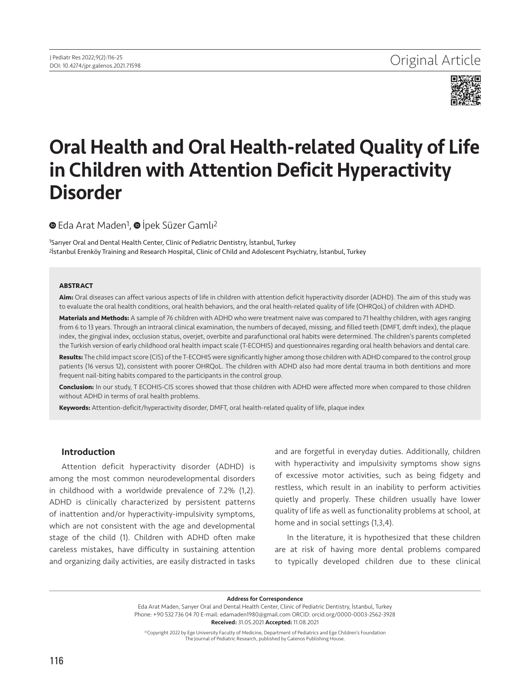

# Oral Health and Oral Health-related Quality of Life in Children with Attention Deficit Hyperactivity Disorder

**■**Eda Arat Maden<sup>1</sup>, **■** İpek Süzer Gamlı<sup>2</sup>

1Sarıyer Oral and Dental Health Center, Clinic of Pediatric Dentistry, İstanbul, Turkey 2İstanbul Erenköy Training and Research Hospital, Clinic of Child and Adolescent Psychiatry, İstanbul, Turkey

#### **ABSTRACT**

**Aim:** Oral diseases can affect various aspects of life in children with attention deficit hyperactivity disorder (ADHD). The aim of this study was to evaluate the oral health conditions, oral health behaviors, and the oral health-related quality of life (OHRQoL) of children with ADHD.

**Materials and Methods:** A sample of 76 children with ADHD who were treatment naive was compared to 71 healthy children, with ages ranging from 6 to 13 years. Through an intraoral clinical examination, the numbers of decayed, missing, and filled teeth (DMFT, dmft index), the plaque index, the gingival index, occlusion status, overjet, overbite and parafunctional oral habits were determined. The children's parents completed the Turkish version of early childhood oral health impact scale (T-ECOHIS) and questionnaires regarding oral health behaviors and dental care.

**Results:** The child impact score (CIS) of the T-ECOHIS were significantly higher among those children with ADHD compared to the control group patients (16 versus 12), consistent with poorer OHRQoL. The children with ADHD also had more dental trauma in both dentitions and more frequent nail-biting habits compared to the participants in the control group.

**Conclusion:** In our study, T ECOHIS-CIS scores showed that those children with ADHD were affected more when compared to those children without ADHD in terms of oral health problems.

**Keywords:** Attention-deficit/hyperactivity disorder, DMFT, oral health-related quality of life, plaque index

#### Introduction

Attention deficit hyperactivity disorder (ADHD) is among the most common neurodevelopmental disorders in childhood with a worldwide prevalence of 7.2% (1,2). ADHD is clinically characterized by persistent patterns of inattention and/or hyperactivity-impulsivity symptoms, which are not consistent with the age and developmental stage of the child (1). Children with ADHD often make careless mistakes, have difficulty in sustaining attention and organizing daily activities, are easily distracted in tasks

and are forgetful in everyday duties. Additionally, children with hyperactivity and impulsivity symptoms show signs of excessive motor activities, such as being fidgety and restless, which result in an inability to perform activities quietly and properly. These children usually have lower quality of life as well as functionality problems at school, at home and in social settings (1,3,4).

In the literature, it is hypothesized that these children are at risk of having more dental problems compared to typically developed children due to these clinical

Address for Correspondence

Eda Arat Maden, Sarıyer Oral and Dental Health Center, Clinic of Pediatric Dentistry, İstanbul, Turkey Phone: +90 532 736 04 70 E-mail: edamaden1980@gmail.com ORCID: orcid.org/0000-0003-2562-3928 Received: 31.05.2021 Accepted: 11.08.2021

©Copyright 2022 by Ege University Faculty of Medicine, Department of Pediatrics and Ege Children's Foundation The Journal of Pediatric Research, published by Galenos Publishing House.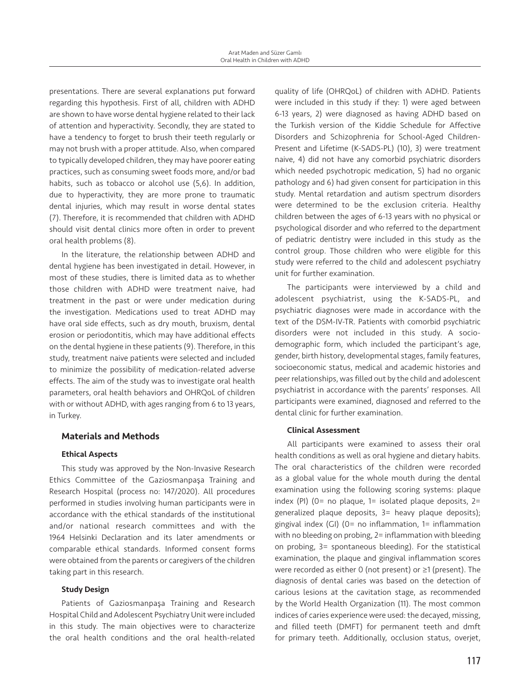presentations. There are several explanations put forward regarding this hypothesis. First of all, children with ADHD are shown to have worse dental hygiene related to their lack of attention and hyperactivity. Secondly, they are stated to have a tendency to forget to brush their teeth regularly or may not brush with a proper attitude. Also, when compared to typically developed children, they may have poorer eating practices, such as consuming sweet foods more, and/or bad habits, such as tobacco or alcohol use (5,6). In addition, due to hyperactivity, they are more prone to traumatic dental injuries, which may result in worse dental states (7). Therefore, it is recommended that children with ADHD should visit dental clinics more often in order to prevent oral health problems (8).

In the literature, the relationship between ADHD and dental hygiene has been investigated in detail. However, in most of these studies, there is limited data as to whether those children with ADHD were treatment naive, had treatment in the past or were under medication during the investigation. Medications used to treat ADHD may have oral side effects, such as dry mouth, bruxism, dental erosion or periodontitis, which may have additional effects on the dental hygiene in these patients (9). Therefore, in this study, treatment naive patients were selected and included to minimize the possibility of medication-related adverse effects. The aim of the study was to investigate oral health parameters, oral health behaviors and OHRQoL of children with or without ADHD, with ages ranging from 6 to 13 years, in Turkey.

# Materials and Methods

# Ethical Aspects

This study was approved by the Non-Invasive Research Ethics Committee of the Gaziosmanpaşa Training and Research Hospital (process no: 147/2020). All procedures performed in studies involving human participants were in accordance with the ethical standards of the institutional and/or national research committees and with the 1964 Helsinki Declaration and its later amendments or comparable ethical standards. Informed consent forms were obtained from the parents or caregivers of the children taking part in this research.

# Study Design

Patients of Gaziosmanpaşa Training and Research Hospital Child and Adolescent Psychiatry Unit were included in this study. The main objectives were to characterize the oral health conditions and the oral health-related

quality of life (OHRQoL) of children with ADHD. Patients were included in this study if they: 1) were aged between 6-13 years, 2) were diagnosed as having ADHD based on the Turkish version of the Kiddie Schedule for Affective Disorders and Schizophrenia for School-Aged Children-Present and Lifetime (K-SADS-PL) (10), 3) were treatment naive, 4) did not have any comorbid psychiatric disorders which needed psychotropic medication, 5) had no organic pathology and 6) had given consent for participation in this study. Mental retardation and autism spectrum disorders were determined to be the exclusion criteria. Healthy children between the ages of 6-13 years with no physical or psychological disorder and who referred to the department of pediatric dentistry were included in this study as the control group. Those children who were eligible for this study were referred to the child and adolescent psychiatry unit for further examination.

The participants were interviewed by a child and adolescent psychiatrist, using the K-SADS-PL, and psychiatric diagnoses were made in accordance with the text of the DSM-IV-TR. Patients with comorbid psychiatric disorders were not included in this study. A sociodemographic form, which included the participant's age, gender, birth history, developmental stages, family features, socioeconomic status, medical and academic histories and peer relationships, was filled out by the child and adolescent psychiatrist in accordance with the parents' responses. All participants were examined, diagnosed and referred to the dental clinic for further examination.

## Clinical Assessment

All participants were examined to assess their oral health conditions as well as oral hygiene and dietary habits. The oral characteristics of the children were recorded as a global value for the whole mouth during the dental examination using the following scoring systems: plaque index (PI) ( $0=$  no plaque,  $1=$  isolated plaque deposits,  $2=$ generalized plaque deposits, 3= heavy plaque deposits); gingival index (GI) (0= no inflammation, 1= inflammation with no bleeding on probing, 2= inflammation with bleeding on probing, 3= spontaneous bleeding). For the statistical examination, the plaque and gingival inflammation scores were recorded as either 0 (not present) or ≥1 (present). The diagnosis of dental caries was based on the detection of carious lesions at the cavitation stage, as recommended by the World Health Organization (11). The most common indices of caries experience were used: the decayed, missing, and filled teeth (DMFT) for permanent teeth and dmft for primary teeth. Additionally, occlusion status, overjet,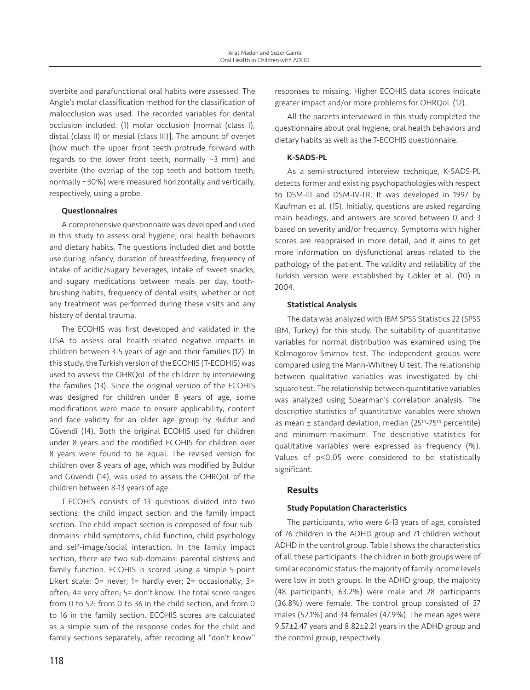overbite and parafunctional oral habits were assessed. The Angle's molar classification method for the classification of malocclusion was used. The recorded variables for dental occlusion included: (1) molar occlusion [normal (class I), distal (class II) or mesial (class III)]. The amount of overjet (how much the upper front teeth protrude forward with regards to the lower front teeth; normally  $\sim$ 3 mm) and overbite (the overlap of the top teeth and bottom teeth, normally ~30%) were measured horizontally and vertically, respectively, using a probe.

## Questionnaires

A comprehensive questionnaire was developed and used in this study to assess oral hygiene, oral health behaviors and dietary habits. The questions included diet and bottle use during infancy, duration of breastfeeding, frequency of intake of acidic/sugary beverages, intake of sweet snacks, and sugary medications between meals per day, toothbrushing habits, frequency of dental visits, whether or not any treatment was performed during these visits and any history of dental trauma.

The ECOHIS was first developed and validated in the USA to assess oral health-related negative impacts in children between 3-5 years of age and their families (12). In this study, the Turkish version of the ECOHIS (T‑ECOHIS) was used to assess the OHRQoL of the children by interviewing the families (13). Since the original version of the ECOHIS was designed for children under 8 years of age, some modifications were made to ensure applicability, content and face validity for an older age group by Buldur and Güvendi (14). Both the original ECOHIS used for children under 8 years and the modified ECOHIS for children over 8 years were found to be equal. The revised version for children over 8 years of age, which was modified by Buldur and Güvendi (14), was used to assess the OHRQoL of the children between 8-13 years of age.

T‑ECOHIS consists of 13 questions divided into two sections: the child impact section and the family impact section. The child impact section is composed of four subdomains: child symptoms, child function, child psychology and self-image/social interaction. In the family impact section, there are two sub-domains: parental distress and family function. ECOHIS is scored using a simple 5-point Likert scale: 0= never; 1= hardly ever; 2= occasionally; 3= often; 4= very often; 5= don't know. The total score ranges from 0 to 52: from 0 to 36 in the child section, and from 0 to 16 in the family section. ECOHIS scores are calculated as a simple sum of the response codes for the child and family sections separately, after recoding all "don't know" responses to missing. Higher ECOHIS data scores indicate greater impact and/or more problems for OHRQoL (12).

All the parents interviewed in this study completed the questionnaire about oral hygiene, oral health behaviors and dietary habits as well as the T‑ECOHIS questionnaire.

# K-SADS-PL

As a semi-structured interview technique, K-SADS-PL detects former and existing psychopathologies with respect to DSM-III and DSM-IV-TR. It was developed in 1997 by Kaufman et al. (15). Initially, questions are asked regarding main headings, and answers are scored between 0 and 3 based on severity and/or frequency. Symptoms with higher scores are reappraised in more detail, and it aims to get more information on dysfunctional areas related to the pathology of the patient. The validity and reliability of the Turkish version were established by Gökler et al. (10) in 2004.

## Statistical Analysis

The data was analyzed with IBM SPSS Statistics 22 (SPSS IBM, Turkey) for this study. The suitability of quantitative variables for normal distribution was examined using the Kolmogorov-Smirnov test. The independent groups were compared using the Mann-Whitney U test. The relationship between qualitative variables was investigated by chisquare test. The relationship between quantitative variables was analyzed using Spearman's correlation analysis. The descriptive statistics of quantitative variables were shown as mean  $\pm$  standard deviation, median (25<sup>th</sup>-75<sup>th</sup> percentile) and minimum-maximum. The descriptive statistics for qualitative variables were expressed as frequency (%). Values of p<0.05 were considered to be statistically significant.

# Results

# Study Population Characteristics

The participants, who were 6-13 years of age, consisted of 76 children in the ADHD group and 71 children without ADHD in the control group. Table I shows the characteristics of all these participants. The children in both groups were of similar economic status: the majority of family income levels were low in both groups. In the ADHD group, the majority (48 participants; 63.2%) were male and 28 participants (36.8%) were female. The control group consisted of 37 males (52.1%) and 34 females (47.9%). The mean ages were 9.57±2.47 years and 8.82±2.21 years in the ADHD group and the control group, respectively.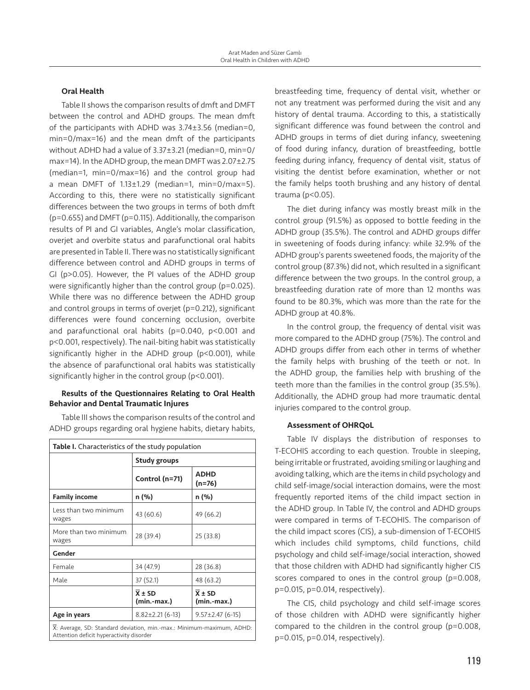## Oral Health

Table II shows the comparison results of dmft and DMFT between the control and ADHD groups. The mean dmft of the participants with ADHD was 3.74±3.56 (median=0, min=0/max=16) and the mean dmft of the participants without ADHD had a value of 3.37±3.21 (median=0, min=0/ max=14). In the ADHD group, the mean DMFT was 2.07±2.75 (median=1, min=0/max=16) and the control group had a mean DMFT of  $1.13 \pm 1.29$  (median=1, min=0/max=5). According to this, there were no statistically significant differences between the two groups in terms of both dmft (p=0.655) and DMFT (p=0.115). Additionally, the comparison results of PI and GI variables, Angle's molar classification, overjet and overbite status and parafunctional oral habits are presented in Table II. There was no statistically significant difference between control and ADHD groups in terms of GI (p>0.05). However, the PI values of the ADHD group were significantly higher than the control group (p=0.025). While there was no difference between the ADHD group and control groups in terms of overjet (p=0.212), significant differences were found concerning occlusion, overbite and parafunctional oral habits (p=0.040, p<0.001 and p<0.001, respectively). The nail-biting habit was statistically significantly higher in the ADHD group (p<0.001), while the absence of parafunctional oral habits was statistically significantly higher in the control group (p<0.001).

## Results of the Questionnaires Relating to Oral Health Behavior and Dental Traumatic Injures

Table III shows the comparison results of the control and ADHD groups regarding oral hygiene habits, dietary habits,

| Table I. Characteristics of the study population                                                                  |                                      |                                      |  |
|-------------------------------------------------------------------------------------------------------------------|--------------------------------------|--------------------------------------|--|
|                                                                                                                   | <b>Study groups</b>                  |                                      |  |
|                                                                                                                   | Control (n=71)                       | <b>ADHD</b><br>(n=76)                |  |
| <b>Family income</b>                                                                                              | n (%)                                | n (%)                                |  |
| Less than two minimum<br>wages                                                                                    | 43 (60.6)                            | 49 (66.2)                            |  |
| More than two minimum<br>wages                                                                                    | 28(39.4)                             | 25 (33.8)                            |  |
| Gender                                                                                                            |                                      |                                      |  |
| Female                                                                                                            | 34 (47.9)                            | 28 (36.8)                            |  |
| Male                                                                                                              | 37 (52.1)                            | 48 (63.2)                            |  |
|                                                                                                                   | $\overline{X} \pm SD$<br>(min.-max.) | $\overline{X} \pm SD$<br>(min.-max.) |  |
| Age in years                                                                                                      | $8.82 \pm 2.21$ (6-13)               | $9.57 \pm 2.47$ (6-15)               |  |
| X: Average, SD: Standard deviation, min.-max.: Minimum-maximum, ADHD:<br>Attention deficit hyperactivity disorder |                                      |                                      |  |

breastfeeding time, frequency of dental visit, whether or not any treatment was performed during the visit and any history of dental trauma. According to this, a statistically significant difference was found between the control and ADHD groups in terms of diet during infancy, sweetening of food during infancy, duration of breastfeeding, bottle feeding during infancy, frequency of dental visit, status of visiting the dentist before examination, whether or not the family helps tooth brushing and any history of dental trauma (p<0.05).

The diet during infancy was mostly breast milk in the control group (91.5%) as opposed to bottle feeding in the ADHD group (35.5%). The control and ADHD groups differ in sweetening of foods during infancy: while 32.9% of the ADHD group's parents sweetened foods, the majority of the control group (87.3%) did not, which resulted in a significant difference between the two groups. In the control group, a breastfeeding duration rate of more than 12 months was found to be 80.3%, which was more than the rate for the ADHD group at 40.8%.

In the control group, the frequency of dental visit was more compared to the ADHD group (75%). The control and ADHD groups differ from each other in terms of whether the family helps with brushing of the teeth or not. In the ADHD group, the families help with brushing of the teeth more than the families in the control group (35.5%). Additionally, the ADHD group had more traumatic dental injuries compared to the control group.

#### Assessment of OHRQoL

Table IV displays the distribution of responses to T‑ECOHIS according to each question. Trouble in sleeping, being irritable or frustrated, avoiding smiling or laughing and avoiding talking, which are the items in child psychology and child self-image/social interaction domains, were the most frequently reported items of the child impact section in the ADHD group. In Table IV, the control and ADHD groups were compared in terms of T-ECOHIS. The comparison of the child impact scores (CIS), a sub-dimension of T-ECOHIS which includes child symptoms, child functions, child psychology and child self-image/social interaction, showed that those children with ADHD had significantly higher CIS scores compared to ones in the control group (p=0.008, p=0.015, p=0.014, respectively).

The CIS, child psychology and child self-image scores of those children with ADHD were significantly higher compared to the children in the control group (p=0.008, p=0.015, p=0.014, respectively).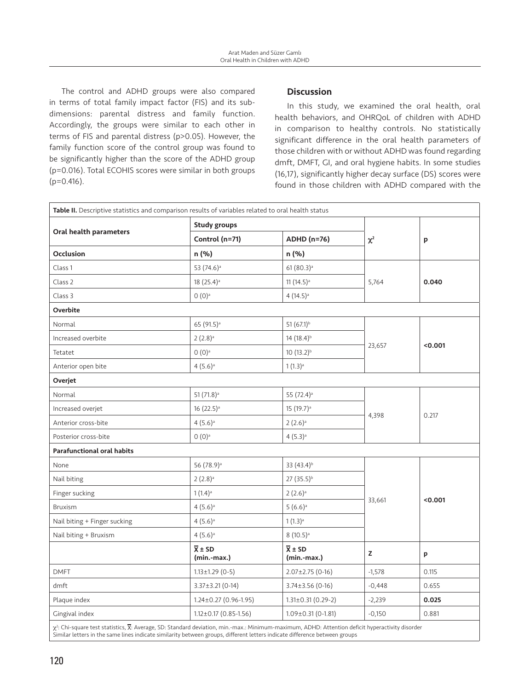The control and ADHD groups were also compared in terms of total family impact factor (FIS) and its subdimensions: parental distress and family function. Accordingly, the groups were similar to each other in terms of FIS and parental distress (p>0.05). However, the family function score of the control group was found to be significantly higher than the score of the ADHD group (p=0.016). Total ECOHIS scores were similar in both groups (p=0.416).

# **Discussion**

In this study, we examined the oral health, oral health behaviors, and OHRQoL of children with ADHD in comparison to healthy controls. No statistically significant difference in the oral health parameters of those children with or without ADHD was found regarding dmft, DMFT, GI, and oral hygiene habits. In some studies (16,17), significantly higher decay surface (DS) scores were found in those children with ADHD compared with the

| Table II. Descriptive statistics and comparison results of variables related to oral health status |                                           |                                           |                 |         |  |
|----------------------------------------------------------------------------------------------------|-------------------------------------------|-------------------------------------------|-----------------|---------|--|
|                                                                                                    | <b>Study groups</b>                       |                                           |                 |         |  |
| Oral health parameters                                                                             | Control (n=71)                            | <b>ADHD (n=76)</b>                        | $\chi^2$        | p       |  |
| <b>Occlusion</b>                                                                                   | n (%)                                     | n (%)                                     |                 |         |  |
| Class 1                                                                                            | 53 (74.6) <sup>a</sup>                    | $61 (80.3)^{a}$                           |                 |         |  |
| Class 2                                                                                            | 18 (25.4) <sup>a</sup>                    | $11(14.5)$ <sup>a</sup>                   | 5,764           | 0.040   |  |
| Class 3                                                                                            | $0(0)^a$                                  | $4(14.5)$ <sup>a</sup>                    |                 |         |  |
| Overbite                                                                                           |                                           |                                           |                 |         |  |
| Normal                                                                                             | 65 (91.5) <sup>a</sup>                    | 51 (67.1) <sup>b</sup>                    |                 |         |  |
| Increased overbite                                                                                 | $2(2.8)$ <sup>a</sup>                     | 14 $(18.4)^{b}$                           | 23,657<br>4,398 | < 0.001 |  |
| Tetatet                                                                                            | $0(0)^{a}$                                | 10 $(13.2)^{b}$                           |                 |         |  |
| Anterior open bite                                                                                 | $4(5.6)$ <sup>a</sup>                     | $1(1.3)$ <sup>a</sup>                     |                 |         |  |
| Overjet                                                                                            |                                           |                                           |                 |         |  |
| Normal                                                                                             | $51(71.8)$ <sup>a</sup>                   | 55 (72.4) <sup>a</sup>                    |                 |         |  |
| Increased overjet                                                                                  | $16(22.5)$ <sup>a</sup>                   | $15(19.7)^a$                              |                 |         |  |
| Anterior cross-bite                                                                                | $4(5.6)$ <sup>a</sup>                     | $2(2.6)$ <sup>a</sup>                     |                 | 0.217   |  |
| Posterior cross-bite                                                                               | $0(0)^a$                                  | $4(5.3)$ <sup>a</sup>                     |                 |         |  |
| <b>Parafunctional oral habits</b>                                                                  |                                           |                                           |                 |         |  |
| None                                                                                               | 56 (78.9) <sup>a</sup>                    | 33 (43.4) <sup>b</sup>                    |                 |         |  |
| Nail biting                                                                                        | $2(2.8)$ <sup>a</sup>                     | 27 (35.5) <sup>b</sup>                    | 33,661          |         |  |
| Finger sucking                                                                                     | $1(1.4)$ <sup>a</sup>                     | $2(2.6)$ <sup>a</sup>                     |                 | < 0.001 |  |
| <b>Bruxism</b>                                                                                     | $4(5.6)$ <sup>a</sup>                     | $5(6.6)$ <sup>a</sup>                     |                 |         |  |
| Nail biting + Finger sucking                                                                       | $4(5.6)$ <sup>a</sup>                     | $1(1.3)^a$                                |                 |         |  |
| Nail biting + Bruxism                                                                              | $4(5.6)$ <sup>a</sup>                     | $8(10.5)$ <sup>a</sup>                    |                 |         |  |
|                                                                                                    | $\overline{X} \pm SD$<br>$(min$ -max. $)$ | $\overline{X} \pm SD$<br>$(min$ -max. $)$ | z               | p       |  |
| <b>DMFT</b>                                                                                        | $1.13 \pm 1.29$ (0-5)                     | $2.07 \pm 2.75$ (0-16)                    | $-1,578$        | 0.115   |  |
| dmft                                                                                               | $3.37 \pm 3.21$ (0-14)                    | $3.74 \pm 3.56$ (0-16)                    | $-0,448$        | 0.655   |  |
| Plaque index                                                                                       | $1.24 \pm 0.27$ (0.96-1.95)               | $1.31\pm0.31(0.29-2)$                     | $-2,239$        | 0.025   |  |
| Gingival index                                                                                     | $1.12 \pm 0.17 (0.85 - 1.56)$             | $1.09 \pm 0.31$ (0-1.81)                  | $-0,150$        | 0.881   |  |
|                                                                                                    |                                           |                                           |                 |         |  |

χ²: Chi-square test statistics,  $\overline{\mathsf{X}}$ : Average, SD: Standard deviation, min.-max.: Minimum-maximum, ADHD: Attention deficit hyperactivity disorder Similar letters in the same lines indicate similarity between groups, different letters indicate difference between groups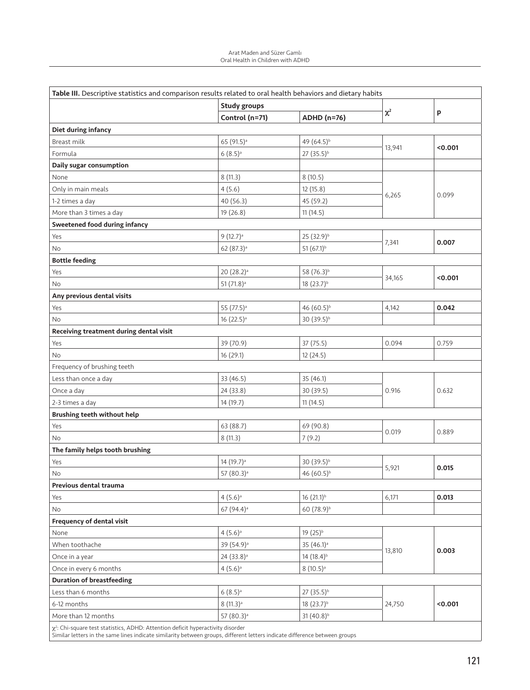| Table III. Descriptive statistics and comparison results related to oral health behaviors and dietary habits |                          |                         |          |         |
|--------------------------------------------------------------------------------------------------------------|--------------------------|-------------------------|----------|---------|
|                                                                                                              | <b>Study groups</b>      |                         | $\chi^2$ | p       |
|                                                                                                              | Control (n=71)           | <b>ADHD (n=76)</b>      |          |         |
| Diet during infancy                                                                                          |                          |                         |          |         |
| Breast milk                                                                                                  | 65 (91.5) <sup>a</sup>   | 49 (64.5) <sup>b</sup>  | 13,941   |         |
| Formula                                                                                                      | $6(8.5)$ <sup>a</sup>    | 27 (35.5) <sup>b</sup>  |          | < 0.001 |
| Daily sugar consumption                                                                                      |                          |                         |          |         |
| None                                                                                                         | 8(11.3)                  | 8(10.5)                 | 6,265    | 0.099   |
| Only in main meals                                                                                           | 4(5.6)                   | 12 (15.8)               |          |         |
| 1-2 times a day                                                                                              | 40 (56.3)                | 45 (59.2)               |          |         |
| More than 3 times a day                                                                                      | 19 (26.8)                | 11(14.5)                |          |         |
| <b>Sweetened food during infancy</b>                                                                         |                          |                         |          |         |
| Yes                                                                                                          | $9(12.7)$ <sup>a</sup>   | 25 (32.9) <sup>b</sup>  |          |         |
| No                                                                                                           | $62 (87.3)$ <sup>a</sup> | 51 $(67.1)^b$           | 7,341    | 0.007   |
| <b>Bottle feeding</b>                                                                                        |                          |                         |          |         |
| Yes                                                                                                          | 20 (28.2) <sup>a</sup>   | 58 (76.3) <sup>b</sup>  | 34,165   |         |
| No                                                                                                           | $51(71.8)$ <sup>a</sup>  | $18(23.7)^{b}$          |          | < 0.001 |
| Any previous dental visits                                                                                   |                          |                         |          |         |
| Yes                                                                                                          | 55 (77.5) <sup>a</sup>   | 46 (60.5) <sup>b</sup>  | 4,142    | 0.042   |
| No                                                                                                           | $16(22.5)$ <sup>a</sup>  | 30 (39.5) <sup>b</sup>  |          |         |
| Receiving treatment during dental visit                                                                      |                          |                         |          |         |
| Yes                                                                                                          | 39 (70.9)                | 37 (75.5)               | 0.094    | 0.759   |
| No                                                                                                           | 16(29.1)                 | 12(24.5)                |          |         |
| Frequency of brushing teeth                                                                                  |                          |                         |          |         |
| Less than once a day                                                                                         | 33 (46.5)                | 35 (46.1)               |          | 0.632   |
| Once a day                                                                                                   | 24 (33.8)                | 30 (39.5)               | 0.916    |         |
| 2-3 times a day                                                                                              | 14 (19.7)                | 11(14.5)                |          |         |
| <b>Brushing teeth without help</b>                                                                           |                          |                         |          |         |
| Yes                                                                                                          | 63 (88.7)                | 69 (90.8)               | 0.019    |         |
| No                                                                                                           | 8(11.3)                  | 7(9.2)                  |          | 0.889   |
| The family helps tooth brushing                                                                              |                          |                         |          |         |
| Yes                                                                                                          | 14 (19.7) <sup>a</sup>   | 30 (39.5) <sup>b</sup>  |          | 0.015   |
| No                                                                                                           | 57 (80.3) <sup>a</sup>   | 46 (60.5) <sup>b</sup>  | 5,921    |         |
| Previous dental trauma                                                                                       |                          |                         |          |         |
| Yes                                                                                                          | $4(5.6)$ <sup>a</sup>    | 16 (21.1) <sup>b</sup>  | 6,171    | 0.013   |
| No                                                                                                           | 67 (94.4) <sup>a</sup>   | 60 (78.9) <sup>b</sup>  |          |         |
| <b>Frequency of dental visit</b>                                                                             |                          |                         |          |         |
| None                                                                                                         | $4(5.6)^a$               | 19 (25) <sup>b</sup>    |          |         |
| When toothache                                                                                               | 39 (54.9) <sup>a</sup>   | $35(46.1)$ <sup>a</sup> |          | 0.003   |
| Once in a year                                                                                               | 24 (33.8) <sup>a</sup>   | 14 (18.4) <sup>b</sup>  | 13,810   |         |
| Once in every 6 months                                                                                       | $4(5.6)^a$               | $8(10.5)$ <sup>a</sup>  |          |         |
| <b>Duration of breastfeeding</b>                                                                             |                          |                         |          |         |
| Less than 6 months                                                                                           | $6(8.5)$ <sup>a</sup>    | 27 (35.5) <sup>b</sup>  |          |         |
| 6-12 months                                                                                                  | $8(11.3)$ <sup>a</sup>   | 18 (23.7) <sup>b</sup>  | 24,750   | < 0.001 |
| More than 12 months                                                                                          | 57 (80.3) <sup>a</sup>   | 31 (40.8) <sup>b</sup>  |          |         |

 $\chi^2$ : Chi-square test statistics, ADHD: Attention deficit hyperactivity disorder

Similar letters in the same lines indicate similarity between groups, different letters indicate difference between groups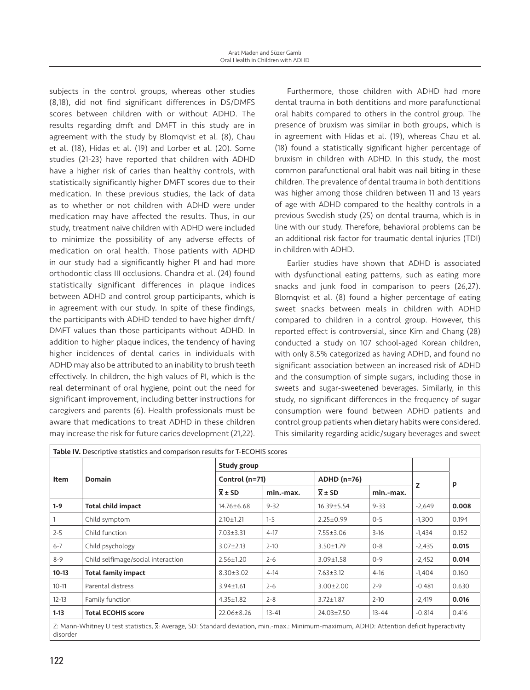subjects in the control groups, whereas other studies (8,18), did not find significant differences in DS/DMFS scores between children with or without ADHD. The results regarding dmft and DMFT in this study are in agreement with the study by Blomqvist et al. (8), Chau et al. (18), Hidas et al. (19) and Lorber et al. (20). Some studies (21-23) have reported that children with ADHD have a higher risk of caries than healthy controls, with statistically significantly higher DMFT scores due to their medication. In these previous studies, the lack of data as to whether or not children with ADHD were under medication may have affected the results. Thus, in our study, treatment naive children with ADHD were included to minimize the possibility of any adverse effects of medication on oral health. Those patients with ADHD in our study had a significantly higher PI and had more orthodontic class III occlusions. Chandra et al. (24) found statistically significant differences in plaque indices between ADHD and control group participants, which is in agreement with our study. In spite of these findings, the participants with ADHD tended to have higher dmft/ DMFT values than those participants without ADHD. In addition to higher plaque indices, the tendency of having higher incidences of dental caries in individuals with ADHD may also be attributed to an inability to brush teeth effectively. In children, the high values of PI, which is the real determinant of oral hygiene, point out the need for significant improvement, including better instructions for caregivers and parents (6). Health professionals must be aware that medications to treat ADHD in these children may increase the risk for future caries development (21,22).

Furthermore, those children with ADHD had more dental trauma in both dentitions and more parafunctional oral habits compared to others in the control group. The presence of bruxism was similar in both groups, which is in agreement with Hidas et al. (19), whereas Chau et al. (18) found a statistically significant higher percentage of bruxism in children with ADHD. In this study, the most common parafunctional oral habit was nail biting in these children. The prevalence of dental trauma in both dentitions was higher among those children between 11 and 13 years of age with ADHD compared to the healthy controls in a previous Swedish study (25) on dental trauma, which is in line with our study. Therefore, behavioral problems can be an additional risk factor for traumatic dental injuries (TDI) in children with ADHD.

Earlier studies have shown that ADHD is associated with dysfunctional eating patterns, such as eating more snacks and junk food in comparison to peers (26,27). Blomqvist et al. (8) found a higher percentage of eating sweet snacks between meals in children with ADHD compared to children in a control group. However, this reported effect is controversial, since Kim and Chang (28) conducted a study on 107 school-aged Korean children, with only 8.5% categorized as having ADHD, and found no significant association between an increased risk of ADHD and the consumption of simple sugars, including those in sweets and sugar-sweetened beverages. Similarly, in this study, no significant differences in the frequency of sugar consumption were found between ADHD patients and control group patients when dietary habits were considered. This similarity regarding acidic/sugary beverages and sweet

| <b>Item</b> | <b>Domain</b>                      | Study group         |                |                     |                    |          |       |
|-------------|------------------------------------|---------------------|----------------|---------------------|--------------------|----------|-------|
|             |                                    |                     | Control (n=71) |                     | <b>ADHD (n=76)</b> |          |       |
|             |                                    | $\overline{X}$ ± SD | min.-max.      | $\overline{X}$ ± SD | min.-max.          | z        | p     |
| $1-9$       | <b>Total child impact</b>          | 14.76±6.68          | $9 - 32$       | $16.39 \pm 5.54$    | $9 - 33$           | $-2,649$ | 0.008 |
|             | Child symptom                      | $2.10 \pm 1.21$     | $1 - 5$        | $2.25 \pm 0.99$     | $0 - 5$            | $-1,300$ | 0.194 |
| $2 - 5$     | Child function                     | $7.03 \pm 3.31$     | $4-17$         | $7.55 \pm 3.06$     | $3-16$             | $-1,434$ | 0.152 |
| $6 - 7$     | Child psychology                   | $3.07 \pm 2.13$     | $2 - 10$       | $3.50 \pm 1.79$     | $0 - 8$            | $-2,435$ | 0.015 |
| $8 - 9$     | Child selfimage/social interaction | $2.56 \pm 1.20$     | $2 - 6$        | $3.09 \pm 1.58$     | $0 - 9$            | $-2,452$ | 0.014 |
| $10-13$     | <b>Total family impact</b>         | $8.30 \pm 3.02$     | $4-14$         | $7.63 \pm 3.12$     | $4-16$             | $-1,404$ | 0.160 |
| $10 - 11$   | Parental distress                  | $3.94 \pm 1.61$     | $2 - 6$        | $3.00 \pm 2.00$     | $2 - 9$            | $-0.481$ | 0.630 |
| $12 - 13$   | Family function                    | $4.35 \pm 1.82$     | $2 - 8$        | $3.72 \pm 1.87$     | $2 - 10$           | $-2,419$ | 0.016 |
| $1-13$      | <b>Total ECOHIS score</b>          | 22.06±8.26          | $13 - 41$      | 24.03±7.50          | $13 - 44$          | $-0.814$ | 0.416 |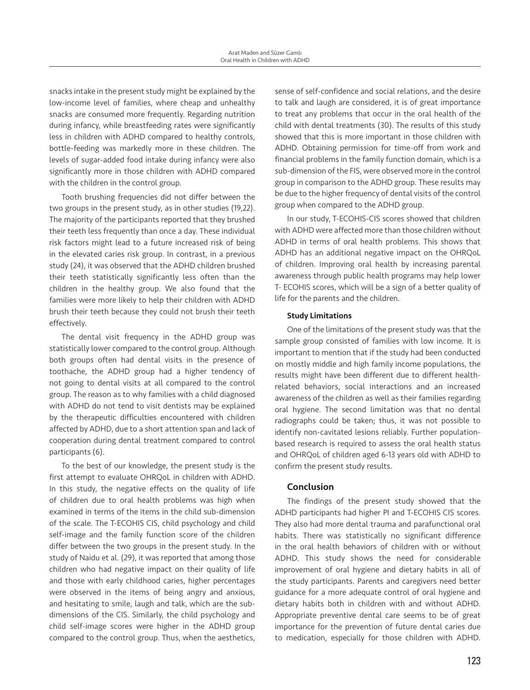snacks intake in the present study might be explained by the low-income level of families, where cheap and unhealthy snacks are consumed more frequently. Regarding nutrition during infancy, while breastfeeding rates were significantly less in children with ADHD compared to healthy controls, bottle-feeding was markedly more in these children. The levels of sugar-added food intake during infancy were also significantly more in those children with ADHD compared with the children in the control group.

Tooth brushing frequencies did not differ between the two groups in the present study, as in other studies (19,22). The majority of the participants reported that they brushed their teeth less frequently than once a day. These individual risk factors might lead to a future increased risk of being in the elevated caries risk group. In contrast, in a previous study (24), it was observed that the ADHD children brushed their teeth statistically significantly less often than the children in the healthy group. We also found that the families were more likely to help their children with ADHD brush their teeth because they could not brush their teeth effectively.

The dental visit frequency in the ADHD group was statistically lower compared to the control group. Although both groups often had dental visits in the presence of toothache, the ADHD group had a higher tendency of not going to dental visits at all compared to the control group. The reason as to why families with a child diagnosed with ADHD do not tend to visit dentists may be explained by the therapeutic difficulties encountered with children affected by ADHD, due to a short attention span and lack of cooperation during dental treatment compared to control participants (6).

To the best of our knowledge, the present study is the first attempt to evaluate OHRQoL in children with ADHD. In this study, the negative effects on the quality of life of children due to oral health problems was high when examined in terms of the items in the child sub-dimension of the scale. The T-ECOHIS CIS, child psychology and child self-image and the family function score of the children differ between the two groups in the present study. In the study of Naidu et al. (29), it was reported that among those children who had negative impact on their quality of life and those with early childhood caries, higher percentages were observed in the items of being angry and anxious, and hesitating to smile, laugh and talk, which are the subdimensions of the CIS. Similarly, the child psychology and child self-image scores were higher in the ADHD group compared to the control group. Thus, when the aesthetics,

sense of self-confidence and social relations, and the desire to talk and laugh are considered, it is of great importance to treat any problems that occur in the oral health of the child with dental treatments (30). The results of this study showed that this is more important in those children with ADHD. Obtaining permission for time-off from work and financial problems in the family function domain, which is a sub-dimension of the FIS, were observed more in the control group in comparison to the ADHD group. These results may be due to the higher frequency of dental visits of the control group when compared to the ADHD group.

In our study, T‑ECOHIS-CIS scores showed that children with ADHD were affected more than those children without ADHD in terms of oral health problems. This shows that ADHD has an additional negative impact on the OHRQoL of children. Improving oral health by increasing parental awareness through public health programs may help lower T- ECOHIS scores, which will be a sign of a better quality of life for the parents and the children.

#### Study Limitations

One of the limitations of the present study was that the sample group consisted of families with low income. It is important to mention that if the study had been conducted on mostly middle and high family income populations, the results might have been different due to different healthrelated behaviors, social interactions and an increased awareness of the children as well as their families regarding oral hygiene. The second limitation was that no dental radiographs could be taken; thus, it was not possible to identify non-cavitated lesions reliably. Further populationbased research is required to assess the oral health status and OHRQoL of children aged 6-13 years old with ADHD to confirm the present study results.

#### Conclusion

The findings of the present study showed that the ADHD participants had higher PI and T-ECOHIS CIS scores. They also had more dental trauma and parafunctional oral habits. There was statistically no significant difference in the oral health behaviors of children with or without ADHD. This study shows the need for considerable improvement of oral hygiene and dietary habits in all of the study participants. Parents and caregivers need better guidance for a more adequate control of oral hygiene and dietary habits both in children with and without ADHD. Appropriate preventive dental care seems to be of great importance for the prevention of future dental caries due to medication, especially for those children with ADHD.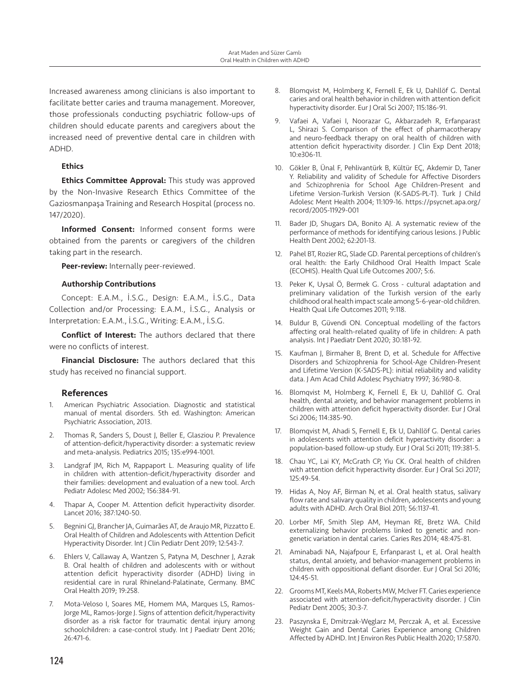Increased awareness among clinicians is also important to facilitate better caries and trauma management. Moreover, those professionals conducting psychiatric follow-ups of children should educate parents and caregivers about the increased need of preventive dental care in children with ADHD.

## **Ethics**

**Ethics Committee Approval:** This study was approved by the Non-Invasive Research Ethics Committee of the Gaziosmanpaşa Training and Research Hospital (process no. 147/2020).

Informed Consent: Informed consent forms were obtained from the parents or caregivers of the children taking part in the research.

Peer-review: Internally peer-reviewed.

#### Authorship Contributions

Concept: E.A.M., İ.S.G., Design: E.A.M., İ.S.G., Data Collection and/or Processing: E.A.M., İ.S.G., Analysis or Interpretation: E.A.M., İ.S.G., Writing: E.A.M., İ.S.G.

Conflict of Interest: The authors declared that there were no conflicts of interest.

Financial Disclosure: The authors declared that this study has received no financial support.

# References

- 1. American Psychiatric Association. Diagnostic and statistical manual of mental disorders. 5th ed. Washington: American Psychiatric Association, 2013.
- 2. Thomas R, Sanders S, Doust J, Beller E, Glasziou P. Prevalence of attention-deficit/hyperactivity disorder: a systematic review and meta-analysis. Pediatrics 2015; 135:e994-1001.
- 3. Landgraf JM, Rich M, Rappaport L. Measuring quality of life in children with attention-deficit/hyperactivity disorder and their families: development and evaluation of a new tool. Arch Pediatr Adolesc Med 2002; 156:384-91.
- 4. Thapar A, Cooper M. Attention deficit hyperactivity disorder. Lancet 2016; 387:1240-50.
- 5. Begnini GJ, Brancher JA, Guimarães AT, de Araujo MR, Pizzatto E. Oral Health of Children and Adolescents with Attention Deficit Hyperactivity Disorder. Int J Clin Pediatr Dent 2019; 12:543-7.
- 6. Ehlers V, Callaway A, Wantzen S, Patyna M, Deschner J, Azrak B. Oral health of children and adolescents with or without attention deficit hyperactivity disorder (ADHD) living in residential care in rural Rhineland-Palatinate, Germany. BMC Oral Health 2019; 19:258.
- 7. Mota-Veloso I, Soares ME, Homem MA, Marques LS, Ramos-Jorge ML, Ramos-Jorge J. Signs of attention deficit/hyperactivity disorder as a risk factor for traumatic dental injury among schoolchildren: a case-control study. Int J Paediatr Dent 2016; 26:471-6.
- 8. Blomqvist M, Holmberg K, Fernell E, Ek U, Dahllöf G. Dental caries and oral health behavior in children with attention deficit hyperactivity disorder. Eur J Oral Sci 2007; 115:186-91.
- 9. Vafaei A, Vafaei I, Noorazar G, Akbarzadeh R, Erfanparast L, Shirazi S. Comparison of the effect of pharmacotherapy and neuro-feedback therapy on oral health of children with attention deficit hyperactivity disorder. J Clin Exp Dent 2018; 10:e306-11.
- 10. Gökler B, Ünal F, Pehlivantürk B, Kültür EÇ, Akdemir D, Taner Y. Reliability and validity of Schedule for Affective Disorders and Schizophrenia for School Age Children-Present and Lifetime Version-Turkish Version (K-SADS-PL-T). Turk J Child Adolesc Ment Health 2004; 11:109-16. https://psycnet.apa.org/ record/2005-11929-001
- 11. Bader JD, Shugars DA, Bonito AJ. A systematic review of the performance of methods for identifying carious lesions. J Public Health Dent 2002; 62:201-13.
- 12. Pahel BT, Rozier RG, Slade GD. Parental perceptions of children's oral health: the Early Childhood Oral Health Impact Scale (ECOHIS). Health Qual Life Outcomes 2007; 5:6.
- 13. Peker K, Uysal Ö, Bermek G. Cross cultural adaptation and preliminary validation of the Turkish version of the early childhood oral health impact scale among 5-6-year-old children. Health Qual Life Outcomes 2011; 9:118.
- 14. Buldur B, Güvendi ON. Conceptual modelling of the factors affecting oral health-related quality of life in children: A path analysis. Int J Paediatr Dent 2020; 30:181-92.
- 15. Kaufman J, Birmaher B, Brent D, et al. Schedule for Affective Disorders and Schizophrenia for School-Age Children-Present and Lifetime Version (K-SADS-PL): initial reliability and validity data. J Am Acad Child Adolesc Psychiatry 1997; 36:980-8.
- 16. Blomqvist M, Holmberg K, Fernell E, Ek U, Dahllöf G. Oral health, dental anxiety, and behavior management problems in children with attention deficit hyperactivity disorder. Eur J Oral Sci 2006; 114:385-90.
- 17. Blomqvist M, Ahadi S, Fernell E, Ek U, Dahllöf G. Dental caries in adolescents with attention deficit hyperactivity disorder: a population-based follow-up study. Eur J Oral Sci 2011; 119:381-5.
- 18. Chau YC, Lai KY, McGrath CP, Yiu CK. Oral health of children with attention deficit hyperactivity disorder. Eur J Oral Sci 2017; 125:49-54.
- 19. Hidas A, Noy AF, Birman N, et al. Oral health status, salivary flow rate and salivary quality in children, adolescents and young adults with ADHD. Arch Oral Biol 2011; 56:1137-41.
- 20. Lorber MF, Smith Slep AM, Heyman RE, Bretz WA. Child externalizing behavior problems linked to genetic and nongenetic variation in dental caries. Caries Res 2014; 48:475-81.
- 21. Aminabadi NA, Najafpour E, Erfanparast L, et al. Oral health status, dental anxiety, and behavior-management problems in children with oppositional defiant disorder. Eur J Oral Sci 2016; 124:45-51.
- 22. Grooms MT, Keels MA, Roberts MW, McIver FT. Caries experience associated with attention-deficit/hyperactivity disorder. J Clin Pediatr Dent 2005; 30:3-7.
- 23. Paszynska E, Dmitrzak-Węglarz M, Perczak A, et al. Excessive Weight Gain and Dental Caries Experience among Children Affected by ADHD. Int J Environ Res Public Health 2020; 17:5870.